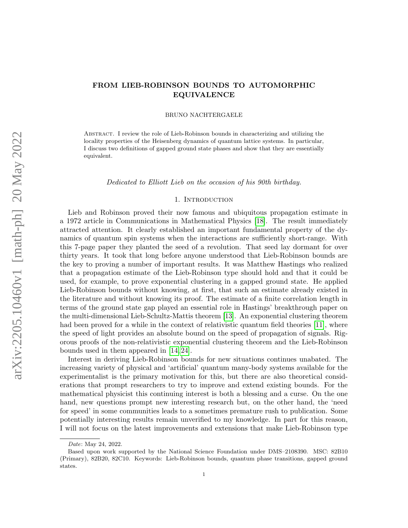# FROM LIEB-ROBINSON BOUNDS TO AUTOMORPHIC EQUIVALENCE

BRUNO NACHTERGAELE

Abstract. I review the role of Lieb-Robinson bounds in characterizing and utilizing the locality properties of the Heisenberg dynamics of quantum lattice systems. In particular, I discuss two definitions of gapped ground state phases and show that they are essentially equivalent.

Dedicated to Elliott Lieb on the occasion of his 90th birthday.

### 1. Introduction

Lieb and Robinson proved their now famous and ubiquitous propagation estimate in a 1972 article in Communications in Mathematical Physics [\[18\]](#page-9-0). The result immediately attracted attention. It clearly established an important fundamental property of the dynamics of quantum spin systems when the interactions are sufficiently short-range. With this 7-page paper they planted the seed of a revolution. That seed lay dormant for over thirty years. It took that long before anyone understood that Lieb-Robinson bounds are the key to proving a number of important results. It was Matthew Hastings who realized that a propagation estimate of the Lieb-Robinson type should hold and that it could be used, for example, to prove exponential clustering in a gapped ground state. He applied Lieb-Robinson bounds without knowing, at first, that such an estimate already existed in the literature and without knowing its proof. The estimate of a finite correlation length in terms of the ground state gap played an essential role in Hastings' breakthrough paper on the multi-dimensional Lieb-Schultz-Mattis theorem [\[13\]](#page-9-1). An exponential clustering theorem had been proved for a while in the context of relativistic quantum field theories [\[11\]](#page-9-2), where the speed of light provides an absolute bound on the speed of propagation of signals. Rigorous proofs of the non-relativistic exponential clustering theorem and the Lieb-Robinson bounds used in them appeared in [\[14,](#page-9-3) [24\]](#page-9-4).

Interest in deriving Lieb-Robinson bounds for new situations continues unabated. The increasing variety of physical and 'artificial' quantum many-body systems available for the experimentalist is the primary motivation for this, but there are also theoretical considerations that prompt researchers to try to improve and extend existing bounds. For the mathematical physicist this continuing interest is both a blessing and a curse. On the one hand, new questions prompt new interesting research but, on the other hand, the 'need for speed' in some communities leads to a sometimes premature rush to publication. Some potentially interesting results remain unverified to my knowledge. In part for this reason, I will not focus on the latest improvements and extensions that make Lieb-Robinson type

Date: May 24, 2022.

Based upon work supported by the National Science Foundation under DMS–2108390. MSC: 82B10 (Primary), 82B20, 82C10. Keywords: Lieb-Robinson bounds, quantum phase transitions, gapped ground states.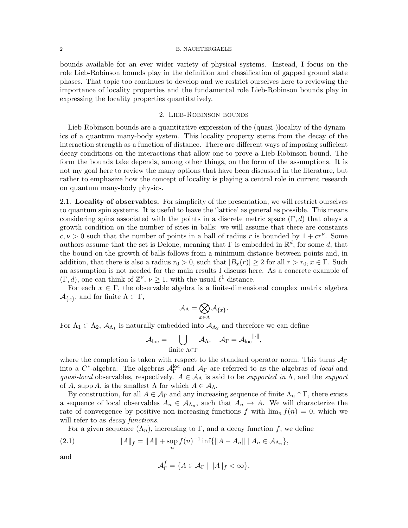bounds available for an ever wider variety of physical systems. Instead, I focus on the role Lieb-Robinson bounds play in the definition and classification of gapped ground state phases. That topic too continues to develop and we restrict ourselves here to reviewing the importance of locality properties and the fundamental role Lieb-Robinson bounds play in expressing the locality properties quantitatively.

### 2. Lieb-Robinson bounds

Lieb-Robinson bounds are a quantitative expression of the (quasi-)locality of the dynamics of a quantum many-body system. This locality property stems from the decay of the interaction strength as a function of distance. There are different ways of imposing sufficient decay conditions on the interactions that allow one to prove a Lieb-Robinson bound. The form the bounds take depends, among other things, on the form of the assumptions. It is not my goal here to review the many options that have been discussed in the literature, but rather to emphasize how the concept of locality is playing a central role in current research on quantum many-body physics.

2.1. Locality of observables. For simplicity of the presentation, we will restrict ourselves to quantum spin systems. It is useful to leave the 'lattice' as general as possible. This means considering spins associated with the points in a discrete metric space  $(\Gamma, d)$  that obeys a growth condition on the number of sites in balls: we will assume that there are constants  $c, \nu > 0$  such that the number of points in a ball of radius r is bounded by  $1 + cr^{\nu}$ . Some authors assume that the set is Delone, meaning that  $\Gamma$  is embedded in  $\mathbb{R}^d$ , for some d, that the bound on the growth of balls follows from a minimum distance between points and, in addition, that there is also a radius  $r_0 > 0$ , such that  $|B_x(r)| \geq 2$  for all  $r > r_0, x \in \Gamma$ . Such an assumption is not needed for the main results I discuss here. As a concrete example of  $(\Gamma, d)$ , one can think of  $\mathbb{Z}^{\nu}$ ,  $\nu \geq 1$ , with the usual  $\ell^{1}$  distance.

For each  $x \in \Gamma$ , the observable algebra is a finite-dimensional complex matrix algebra  $\mathcal{A}_{\{x\}}$ , and for finite  $\Lambda \subset \Gamma$ ,

$$
\mathcal{A}_{\Lambda}=\bigotimes_{x\in \Lambda}\mathcal{A}_{\{x\}}.
$$

For  $\Lambda_1 \subset \Lambda_2$ ,  $\mathcal{A}_{\Lambda_1}$  is naturally embedded into  $\mathcal{A}_{\Lambda_2}$  and therefore we can define

$$
\mathcal{A}_{\mathrm{loc}} = \bigcup_{\mathrm{finite} \; \Lambda \subset \Gamma} \mathcal{A}_{\Lambda}, \quad \mathcal{A}_{\Gamma} = \overline{\mathcal{A}_{\mathrm{loc}}}^{\|\cdot\|},
$$

where the completion is taken with respect to the standard operator norm. This turns  $\mathcal{A}_{\Gamma}$ into a  $C^*$ -algebra. The algebras  $\mathcal{A}^{\text{loc}}_{\Gamma}$  and  $\mathcal{A}_{\Gamma}$  are referred to as the algebras of *local* and quasi-local observables, respectively.  $A \in \mathcal{A}_{\Lambda}$  is said to be supported in  $\Lambda$ , and the support of A, supp A, is the smallest  $\Lambda$  for which  $A \in \mathcal{A}_{\Lambda}$ .

By construction, for all  $A \in \mathcal{A}_{\Gamma}$  and any increasing sequence of finite  $\Lambda_n \uparrow \Gamma$ , there exists a sequence of local observables  $A_n \in A_{\Lambda_n}$ , such that  $A_n \to A$ . We will characterize the rate of convergence by positive non-increasing functions f with  $\lim_{n} f(n) = 0$ , which we will refer to as *decay functions*.

For a given sequence  $(\Lambda_n)$ , increasing to Γ, and a decay function f, we define

(2.1) 
$$
||A||_f = ||A|| + \sup_n f(n)^{-1} \inf \{ ||A - A_n|| \mid A_n \in A_{\Lambda_n} \},
$$

and

<span id="page-1-0"></span>
$$
\mathcal{A}_{\Gamma}^{f} = \{ A \in \mathcal{A}_{\Gamma} \mid ||A||_{f} < \infty \}.
$$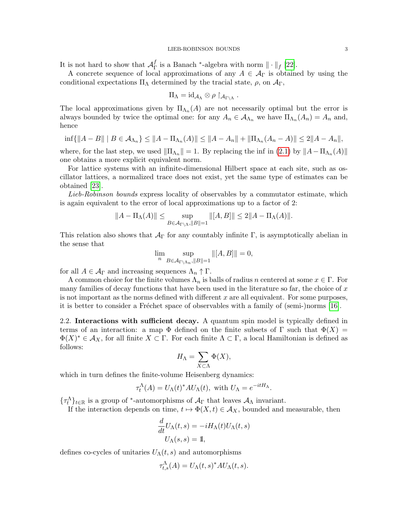It is not hard to show that  $\mathcal{A}_{\Gamma}^f$  $\frac{f}{\Gamma}$  is a Banach \*-algebra with norm  $\|\cdot\|_f$  [\[22\]](#page-9-5).

A concrete sequence of local approximations of any  $A \in \mathcal{A}_{\Gamma}$  is obtained by using the conditional expectations  $\Pi_{\Lambda}$  determined by the tracial state,  $\rho$ , on  $\mathcal{A}_{\Gamma}$ ,

$$
\Pi_{\Lambda} = \mathrm{id}_{\mathcal{A}_{\Lambda}} \otimes \rho \upharpoonright_{\mathcal{A}_{\Gamma \setminus \Lambda}}.
$$

The local approximations given by  $\Pi_{\Lambda_n}(A)$  are not necessarily optimal but the error is always bounded by twice the optimal one: for any  $A_n \in A_{\Lambda_n}$  we have  $\Pi_{\Lambda_n}(A_n) = A_n$  and, hence

$$
\inf\{\|A-B\| \mid B \in A_{\Lambda_n}\} \le \|A-\Pi_{\Lambda_n}(A)\| \le \|A-A_n\| + \|\Pi_{\Lambda_n}(A_n-A)\| \le 2\|A-A_n\|,
$$

where, for the last step, we used  $\|\Pi_{\Lambda_n}\|=1$ . By replacing the inf in [\(2.1\)](#page-1-0) by  $\|A-\Pi_{\Lambda_n}(A)\|$ one obtains a more explicit equivalent norm.

For lattice systems with an infinite-dimensional Hilbert space at each site, such as oscillator lattices, a normalized trace does not exist, yet the same type of estimates can be obtained [\[23\]](#page-9-6).

Lieb-Robinson bounds express locality of observables by a commutator estimate, which is again equivalent to the error of local approximations up to a factor of 2:

$$
||A - \Pi_{\Lambda}(A)|| \le \sup_{B \in \mathcal{A}_{\Gamma \backslash \Lambda}, ||B|| = 1} ||[A, B]|| \le 2||A - \Pi_{\Lambda}(A)||.
$$

This relation also shows that  $\mathcal{A}_{\Gamma}$  for any countably infinite  $\Gamma$ , is asymptotically abelian in the sense that

$$
\lim_{n} \sup_{B \in \mathcal{A}_{\Gamma \setminus \Lambda_n}, \|B\| = 1} \| [A, B] \| = 0,
$$

for all  $A \in \mathcal{A}_{\Gamma}$  and increasing sequences  $\Lambda_n \uparrow \Gamma$ .

A common choice for the finite volumes  $\Lambda_n$  is balls of radius n centered at some  $x \in \Gamma$ . For many families of decay functions that have been used in the literature so far, the choice of  $x$ is not important as the norms defined with different  $x$  are all equivalent. For some purposes, it is better to consider a Fréchet space of observables with a family of (semi-)norms [\[16\]](#page-9-7).

2.2. Interactions with sufficient decay. A quantum spin model is typically defined in terms of an interaction: a map  $\Phi$  defined on the finite subsets of  $\Gamma$  such that  $\Phi(X)$  =  $\Phi(X)^* \in \mathcal{A}_X$ , for all finite  $X \subset \Gamma$ . For each finite  $\Lambda \subset \Gamma$ , a local Hamiltonian is defined as follows:

$$
H_{\Lambda} = \sum_{X \subset \Lambda} \Phi(X),
$$

which in turn defines the finite-volume Heisenberg dynamics:

$$
\tau_t^{\Lambda}(A) = U_{\Lambda}(t)^* A U_{\Lambda}(t), \text{ with } U_{\Lambda} = e^{-itH_{\Lambda}}.
$$

 $\{\tau_t^{\Lambda}\}_{t\in\mathbb{R}}$  is a group of \*-automorphisms of  $\mathcal{A}_{\Gamma}$  that leaves  $\mathcal{A}_{\Lambda}$  invariant.

If the interaction depends on time,  $t \mapsto \Phi(X, t) \in \mathcal{A}_X$ , bounded and measurable, then

$$
\frac{d}{dt}U_{\Lambda}(t,s) = -iH_{\Lambda}(t)U_{\Lambda}(t,s)
$$

$$
U_{\Lambda}(s,s) = 1,
$$

defines co-cycles of unitaries  $U_{\Lambda}(t, s)$  and automorphisms

$$
\tau_{t,s}^{\Lambda}(A) = U_{\Lambda}(t,s)^{*}AU_{\Lambda}(t,s).
$$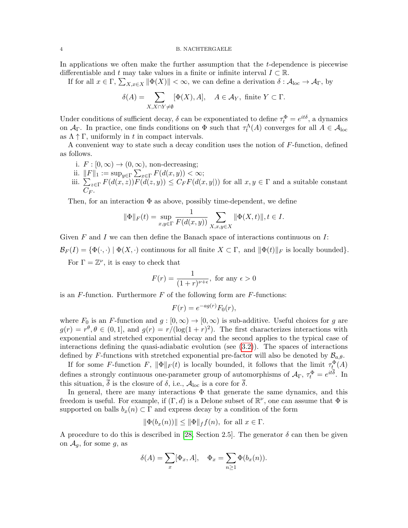In applications we often make the further assumption that the t-dependence is piecewise differentiable and t may take values in a finite or infinite interval  $I \subset \mathbb{R}$ .

If for all  $x \in \Gamma$ ,  $\sum_{X,x \in X} ||\Phi(X)|| < \infty$ , we can define a derivation  $\delta : A_{loc} \to A_{\Gamma}$ , by

$$
\delta(A) = \sum_{X, X \cap Y \neq \emptyset} [\Phi(X), A], \quad A \in \mathcal{A}_Y, \text{ finite } Y \subset \Gamma.
$$

Under conditions of sufficient decay,  $\delta$  can be exponentiated to define  $\tau_t^{\Phi} = e^{it\delta}$ , a dynamics on  $\mathcal{A}_{\Gamma}$ . In practice, one finds conditions on  $\Phi$  such that  $\tau_t^{\Lambda}(A)$  converges for all  $A \in \mathcal{A}_{loc}$ as  $\Lambda \uparrow \Gamma$ , uniformly in t in compact intervals.

A convenient way to state such a decay condition uses the notion of F-function, defined as follows.

- i.  $F : [0, \infty) \to (0, \infty)$ , non-decreasing;
- ii.  $||F||_1 := \sup_{y \in \Gamma} \sum_{x \in \Gamma} F(d(x, y)) < \infty;$
- iii.  $\sum_{z \in \Gamma} F(d(x, z))F(d(z, y)) \leq C_F F(d(x, y)))$  for all  $x, y \in \Gamma$  and a suitable constant  $C_F$ .

Then, for an interaction  $\Phi$  as above, possibly time-dependent, we define

$$
\|\Phi\|_{F}(t) = \sup_{x,y \in \Gamma} \frac{1}{F(d(x,y))} \sum_{X,x,y \in X} \|\Phi(X,t)\|, t \in I.
$$

Given F and I we can then define the Banach space of interactions continuous on I:

 $\mathcal{B}_F(I) = \{\Phi(\cdot,\cdot) \mid \Phi(X,\cdot) \text{ continuous for all finite } X \subset \Gamma, \text{ and } \|\Phi(t)\|_F \text{ is locally bounded}\}.$ 

For  $\Gamma = \mathbb{Z}^{\nu}$ , it is easy to check that

$$
F(r) = \frac{1}{(1+r)^{\nu+\epsilon}}, \text{ for any } \epsilon > 0
$$

is an  $F$ -function. Furthermore  $F$  of the following form are  $F$ -functions:

$$
F(r) = e^{-ag(r)} F_0(r),
$$

where  $F_0$  is an F-function and  $g : [0, \infty) \to [0, \infty)$  is sub-additive. Useful choices for g are  $g(r) = r^{\theta}, \theta \in (0, 1],$  and  $g(r) = r/(\log(1+r)^2)$ . The first characterizes interactions with exponential and stretched exponential decay and the second applies to the typical case of interactions defining the quasi-adiabatic evolution (see [\(3.2\)](#page-7-0)). The spaces of interactions defined by F-functions with stretched exponential pre-factor will also be denoted by  $\mathcal{B}_{a,\theta}$ .

If for some F-function F,  $\|\Phi\|_F(t)$  is locally bounded, it follows that the limit  $\tau_t^{\Phi}(A)$ defines a strongly continuous one-parameter group of automorphisms of  $\mathcal{A}_{\Gamma}$ ,  $\tau_t^{\Phi} = e^{it\delta}$ . In this situation,  $\delta$  is the closure of  $\delta$ , i.e.,  $\mathcal{A}_{loc}$  is a core for  $\delta$ .

In general, there are many interactions  $\Phi$  that generate the same dynamics, and this freedom is useful. For example, if  $(\Gamma, d)$  is a Delone subset of  $\mathbb{R}^{\nu}$ , one can assume that  $\Phi$  is supported on balls  $b_x(n) \subset \Gamma$  and express decay by a condition of the form

$$
\|\Phi(b_x(n))\| \le \|\Phi\|_f f(n), \text{ for all } x \in \Gamma.
$$

A procedure to do this is described in [\[28,](#page-9-8) Section 2.5]. The generator  $\delta$  can then be given on  $\mathcal{A}_q$ , for some g, as

$$
\delta(A) = \sum_{x} [\Phi_x, A], \quad \Phi_x = \sum_{n \ge 1} \Phi(b_x(n)).
$$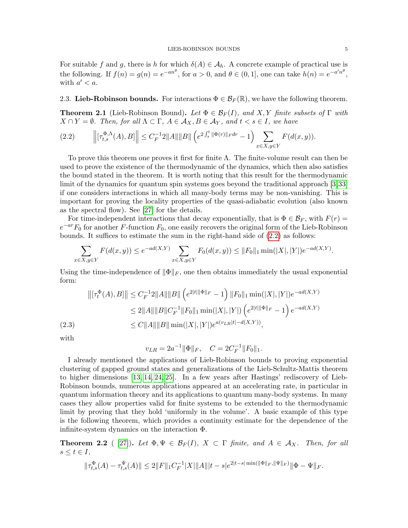For suitable f and g, there is h for which  $\delta(A) \in \mathcal{A}_h$ . A concrete example of practical use is the following. If  $f(n) = g(n) = e^{-an^{\theta}}$ , for  $a > 0$ , and  $\theta \in (0, 1]$ , one can take  $h(n) = e^{-a'n^{\theta}}$ , with  $a' < a$ .

2.3. Lieb-Robinson bounds. For interactions  $\Phi \in \mathcal{B}_F(\mathbb{R})$ , we have the following theorem.

<span id="page-4-1"></span>**Theorem 2.1** (Lieb-Robinson Bound). Let  $\Phi \in \mathcal{B}_F(I)$ , and X, Y finite subsets of  $\Gamma$  with  $X \cap Y = \emptyset$ . Then, for all  $\Lambda \subset \Gamma$ ,  $A \in \mathcal{A}_X$ ,  $B \in \mathcal{A}_Y$ , and  $t < s \in I$ , we have

<span id="page-4-0"></span>
$$
(2.2) \qquad \left\| \left[ \tau_{t,s}^{\Phi,\Lambda}(A), B \right] \right\| \leq C_F^{-1} 2\|A\| \|B\| \left( e^{2\int_s^t \|\Phi(r)\|_F dr} - 1 \right) \sum_{x \in X, y \in Y} F(d(x,y)).
$$

To prove this theorem one proves it first for finite  $\Lambda$ . The finite-volume result can then be used to prove the existence of the thermodynamic of the dynamics, which then also satisfies the bound stated in the theorem. It is worth noting that this result for the thermodynamic limit of the dynamics for quantum spin systems goes beyond the traditional approach [\[3,](#page-8-0)[33\]](#page-9-9) if one considers interactions in which all many-body terms may be non-vanishing. This is important for proving the locality properties of the quasi-adiabatic evolution (also known as the spectral flow). See [\[27\]](#page-9-10) for the details.

For time-independent interactions that decay exponentially, that is  $\Phi \in \mathcal{B}_F$ , with  $F(r)$  =  $e^{-ar}F_0$  for another F-function  $F_0$ , one easily recovers the original form of the Lieb-Robinson bounds. It suffices to estimate the sum in the right-hand side of [\(2.2\)](#page-4-0) as follows:

$$
\sum_{x \in X, y \in Y} F(d(x, y)) \le e^{-ad(X, Y)} \sum_{x \in X, y \in Y} F_0(d(x, y)) \le ||F_0||_1 \min(|X|, |Y|) e^{-ad(X, Y)}.
$$

Using the time-independence of  $\|\Phi\|_F$ , one then obtains immediately the usual exponential form:

$$
\begin{aligned} \left\| [\tau_t^{\Phi}(A), B] \right\| &\leq C_F^{-1} 2\|A\| \|B\| \left( e^{2|t| \|\Phi\|_F} - 1 \right) \|F_0\|_1 \min(|X|, |Y|) e^{-ad(X,Y)} \\ &\leq 2\|A\| \|B\| C_F^{-1} \|F_0\|_1 \min(|X|, |Y|) \left( e^{2|t| \|\Phi\|_F} - 1 \right) e^{-ad(X,Y)} \\ &\leq C\|A\| \|B\| \min(|X|, |Y|) e^{a(v_{LR}|t| - d(X,Y))}, \end{aligned}
$$

<span id="page-4-2"></span>with

$$
v_{LR} = 2a^{-1} ||\Phi||_F
$$
,  $C = 2C_F^{-1} ||F_0||_1$ .

I already mentioned the applications of Lieb-Robinson bounds to proving exponential clustering of gapped ground states and generalizations of the Lieb-Schultz-Mattis theorem to higher dimensions [\[13,](#page-9-1) [14,](#page-9-3) [24,](#page-9-4) [25\]](#page-9-11). In a few years after Hastings' rediscovery of Lieb-Robinson bounds, numerous applications appeared at an accelerating rate, in particular in quantum information theory and its applications to quantum many-body systems. In many cases they allow properties valid for finite systems to be extended to the thermodynamic limit by proving that they hold 'uniformly in the volume'. A basic example of this type is the following theorem, which provides a continuity estimate for the dependence of the infinite-system dynamics on the interaction Φ.

**Theorem 2.2** ( [\[27\]](#page-9-10)). Let  $\Phi, \Psi \in \mathcal{B}_F(I)$ ,  $X \subset \Gamma$  finite, and  $A \in \mathcal{A}_X$ . Then, for all  $s \leq t \in I$ ,

$$
\|\tau_{t,s}^{\Phi}(A)-\tau_{t,s}^{\Psi}(A)\| \le 2\|F\|_1 C_F^{-1}|X|\|A\||t-s|e^{2|t-s|\min(\|\Phi\|_F,\|\Psi\|_F)}\|\Phi-\Psi\|_F.
$$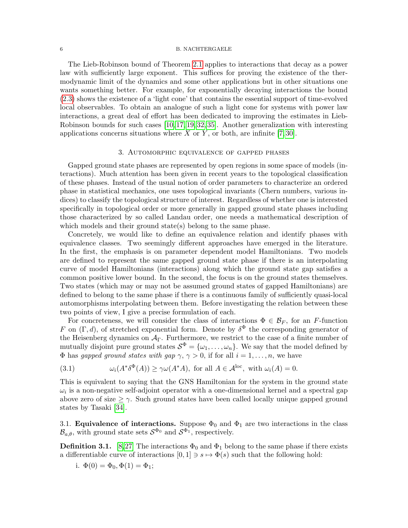The Lieb-Robinson bound of Theorem [2.1](#page-4-1) applies to interactions that decay as a power law with sufficiently large exponent. This suffices for proving the existence of the thermodynamic limit of the dynamics and some other applications but in other situations one wants something better. For example, for exponentially decaying interactions the bound [\(2.3\)](#page-4-2) shows the existence of a 'light cone' that contains the essential support of time-evolved local observables. To obtain an analogue of such a light cone for systems with power law interactions, a great deal of effort has been dedicated to improving the estimates in Lieb-Robinson bounds for such cases [\[10,](#page-9-12) [17,](#page-9-13) [19,](#page-9-14) [32,](#page-9-15) [35\]](#page-9-16). Another generalization with interesting applications concerns situations where  $X$  or  $Y$ , or both, are infinite [\[7,](#page-8-1) [30\]](#page-9-17).

### 3. Automorphic equivalence of gapped phases

Gapped ground state phases are represented by open regions in some space of models (interactions). Much attention has been given in recent years to the topological classification of these phases. Instead of the usual notion of order parameters to characterize an ordered phase in statistical mechanics, one uses topological invariants (Chern numbers, various indices) to classify the topological structure of interest. Regardless of whether one is interested specifically in topological order or more generally in gapped ground state phases including those characterized by so called Landau order, one needs a mathematical description of which models and their ground state(s) belong to the same phase.

Concretely, we would like to define an equivalence relation and identify phases with equivalence classes. Two seemingly different approaches have emerged in the literature. In the first, the emphasis is on parameter dependent model Hamiltonians. Two models are defined to represent the same gapped ground state phase if there is an interpolating curve of model Hamiltonians (interactions) along which the ground state gap satisfies a common positive lower bound. In the second, the focus is on the ground states themselves. Two states (which may or may not be assumed ground states of gapped Hamiltonians) are defined to belong to the same phase if there is a continuous family of sufficiently quasi-local automorphisms interpolating between them. Before investigating the relation between these two points of view, I give a precise formulation of each.

For concreteness, we will consider the class of interactions  $\Phi \in \mathcal{B}_F$ , for an F-function F on  $(\Gamma, d)$ , of stretched exponential form. Denote by  $\delta^{\Phi}$  the corresponding generator of the Heisenberg dynamics on  $A_{\Gamma}$ . Furthermore, we restrict to the case of a finite number of mutually disjoint pure ground states  $S^{\Phi} = {\omega_1, \ldots, \omega_n}$ . We say that the model defined by  $\Phi$  has gapped ground states with gap  $\gamma, \gamma > 0$ , if for all  $i = 1, \ldots, n$ , we have

(3.1) 
$$
\omega_i(A^*\delta^{\Phi}(A)) \ge \gamma \omega(A^*A), \text{ for all } A \in \mathcal{A}^{\text{loc}}, \text{ with } \omega_i(A) = 0.
$$

This is equivalent to saying that the GNS Hamiltonian for the system in the ground state  $\omega_i$  is a non-negative self-adjoint operator with a one-dimensional kernel and a spectral gap above zero of size  $\geq \gamma$ . Such ground states have been called locally unique gapped ground states by Tasaki [\[34\]](#page-9-18).

3.1. **Equivalence of interactions.** Suppose  $\Phi_0$  and  $\Phi_1$  are two interactions in the class  $\mathcal{B}_{a,\theta}$ , with ground state sets  $\mathcal{S}^{\Phi_0}$  and  $\mathcal{S}^{\Phi_1}$ , respectively.

<span id="page-5-0"></span>**Definition 3.1.** [\[8,](#page-8-2)[27\]](#page-9-10) The interactions  $\Phi_0$  and  $\Phi_1$  belong to the same phase if there exists a differentiable curve of interactions  $[0, 1] \ni s \mapsto \Phi(s)$  such that the following hold:

i. 
$$
\Phi(0) = \Phi_0, \Phi(1) = \Phi_1;
$$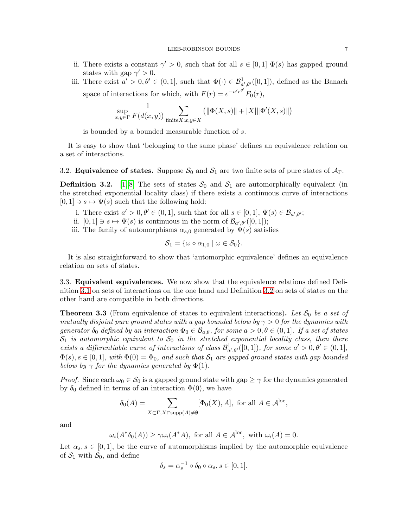- ii. There exists a constant  $\gamma' > 0$ , such that for all  $s \in [0,1]$   $\Phi(s)$  has gapped ground states with gap  $\gamma' > 0$ .
- iii. There exist  $a' > 0, \theta' \in (0, 1]$ , such that  $\Phi(\cdot) \in \mathcal{B}^1_{a', \theta'}([0, 1])$ , defined as the Banach space of interactions for which, with  $F(r) = e^{-a'r^{\theta'}} F_0(r)$ ,

$$
\sup_{x,y\in\Gamma}\frac{1}{F(d(x,y))}\sum_{\text{finite}X:x,y\in X}\left(\|\Phi(X,s)\|+|X|\|\Phi'(X,s)\|\right)
$$

is bounded by a bounded measurable function of s.

It is easy to show that 'belonging to the same phase' defines an equivalence relation on a set of interactions.

3.2. **Equivalence of states.** Suppose  $S_0$  and  $S_1$  are two finite sets of pure states of  $A_{\Gamma}$ .

<span id="page-6-0"></span>**Definition 3.2.** [\[1,](#page-8-3) [8\]](#page-8-2) The sets of states  $S_0$  and  $S_1$  are automorphically equivalent (in the stretched exponential locality class) if there exists a continuous curve of interactions  $[0, 1] \ni s \mapsto \Psi(s)$  such that the following hold:

- i. There exist  $a' > 0, \theta' \in (0, 1]$ , such that for all  $s \in [0, 1]$ ,  $\Psi(s) \in \mathcal{B}_{a', \theta'}$ ;
- ii.  $[0,1] \ni s \mapsto \Psi(s)$  is continuous in the norm of  $\mathcal{B}_{a',\theta'}([0,1])$ ;
- iii. The family of automorphisms  $\alpha_{s,0}$  generated by  $\Psi(s)$  satisfies

$$
\mathcal{S}_1 = \{ \omega \circ \alpha_{1,0} \mid \omega \in \mathcal{S}_0 \}.
$$

It is also straightforward to show that 'automorphic equivalence' defines an equivalence relation on sets of states.

3.3. Equivalent equivalences. We now show that the equivalence relations defined Definition [3.1](#page-5-0) on sets of interactions on the one hand and Definition [3.2](#page-6-0) on sets of states on the other hand are compatible in both directions.

**Theorem 3.3** (From equivalence of states to equivalent interactions). Let  $S_0$  be a set of mutually disjoint pure ground states with a gap bounded below by  $\gamma > 0$  for the dynamics with generator  $\delta_0$  defined by an interaction  $\Phi_0 \in \mathcal{B}_{a,\theta}$ , for some  $a > 0, \theta \in (0,1]$ . If a set of states  $S_1$  is automorphic equivalent to  $S_0$  in the stretched exponential locality class, then there exists a differentiable curve of interactions of class  $\mathcal{B}_{a',\theta'}^1([0,1])$ , for some  $a' > 0, \theta' \in (0,1]$ ,  $\Phi(s), s \in [0, 1],$  with  $\Phi(0) = \Phi_0$ , and such that  $\mathcal{S}_1$  are gapped ground states with gap bounded below by  $\gamma$  for the dynamics generated by  $\Phi(1)$ .

*Proof.* Since each  $\omega_0 \in \mathcal{S}_0$  is a gapped ground state with gap  $\geq \gamma$  for the dynamics generated by  $\delta_0$  defined in terms of an interaction  $\Phi(0)$ , we have

$$
\delta_0(A) = \sum_{X \subset \Gamma, X \cap \text{supp}(A) \neq \emptyset} [\Phi_0(X), A], \text{ for all } A \in \mathcal{A}^{\text{loc}},
$$

and

$$
\omega_i(A^*\delta_0(A)) \ge \gamma \omega_i(A^*A), \text{ for all } A \in \mathcal{A}^{\text{loc}}, \text{ with } \omega_i(A) = 0.
$$

Let  $\alpha_s, s \in [0,1]$ , be the curve of automorphisms implied by the automorphic equivalence of  $S_1$  with  $S_0$ , and define

$$
\delta_s = \alpha_s^{-1} \circ \delta_0 \circ \alpha_s, s \in [0, 1].
$$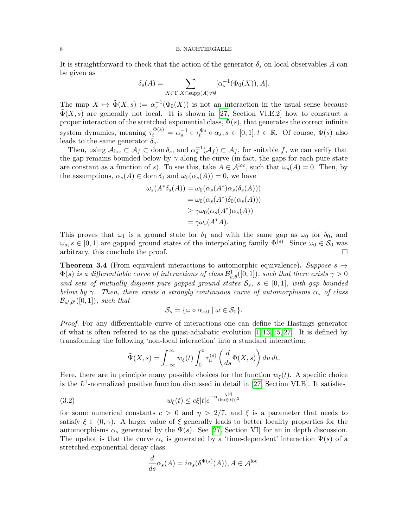It is straightforward to check that the action of the generator  $\delta_s$  on local observables A can be given as

$$
\delta_s(A) = \sum_{X \subset \Gamma, X \cap \text{supp}(A) \neq \emptyset} [\alpha_s^{-1}(\Phi_0(X)), A].
$$

The map  $X \mapsto \tilde{\Phi}(X, s) := \alpha_s^{-1}(\Phi_0(X))$  is not an interaction in the usual sense because  $\tilde{\Phi}(X, s)$  are generally not local. It is shown in [\[27,](#page-9-10) Section VI.E.2] how to construct a proper interaction of the stretched exponential class,  $\Phi(s)$ , that generates the correct infinite system dynamics, meaning  $\tau_t^{\Phi(s)} = \alpha_s^{-1} \circ \tau_t^{\Phi_0} \circ \alpha_s$ ,  $s \in [0,1], t \in \mathbb{R}$ . Of course,  $\Phi(s)$  also leads to the same generator  $\delta_s$ .

Then, using  $A_{\text{loc}} \subset A_f \subset \text{dom } \delta_s$ , and  $\alpha_s^{\pm 1}(A_f) \subset A_f$ , for suitable f, we can verify that the gap remains bounded below by  $\gamma$  along the curve (in fact, the gaps for each pure state are constant as a function of s). To see this, take  $A \in \mathcal{A}^{\rm loc}$ , such that  $\omega_s(A) = 0$ . Then, by the assumptions,  $\alpha_s(A) \in \text{dom } \delta_0$  and  $\omega_0(\alpha_s(A)) = 0$ , we have

$$
\omega_s(A^*\delta_s(A)) = \omega_0(\alpha_s(A^*)\alpha_s(\delta_s(A)))
$$
  
=  $\omega_0(\alpha_s(A^*)\delta_0(\alpha_s(A)))$   
 $\geq \gamma\omega_0(\alpha_s(A^*)\alpha_s(A))$   
=  $\gamma\omega_s(A^*A).$ 

This proves that  $\omega_1$  is a ground state for  $\delta_1$  and with the same gap as  $\omega_0$  for  $\delta_0$ , and  $\omega_s, s \in [0,1]$  are gapped ground states of the interpolating family  $\Phi^{(s)}$ . Since  $\omega_0 \in \mathcal{S}_0$  was arbitrary, this conclude the proof.

**Theorem 3.4** (From equivalent interactions to automorphic equivalence). Suppose  $s \mapsto$  $\Phi(s)$  is a differentiable curve of interactions of class  $\mathcal{B}^1_{a,\theta}([0,1])$ , such that there exists  $\gamma > 0$ and sets of mutually disjoint pure gapped ground states  $S_s$ ,  $s \in [0,1]$ , with gap bounded below by  $\gamma$ . Then, there exists a strongly continuous curve of automorphisms  $\alpha_s$  of class  $\mathcal{B}_{a',\theta'}([0,1])$ , such that

$$
\mathcal{S}_s = \{ \omega \circ \alpha_{s,0} \mid \omega \in \mathcal{S}_0 \}.
$$

Proof. For any differentiable curve of interactions one can define the Hastings generator of what is often referred to as the quasi-adiabatic evolution  $[1, 13, 15, 27]$  $[1, 13, 15, 27]$  $[1, 13, 15, 27]$  $[1, 13, 15, 27]$ . It is defined by transforming the following 'non-local interaction' into a standard interaction:

<span id="page-7-0"></span>
$$
\tilde{\Psi}(X,s) = \int_{-\infty}^{\infty} w_{\xi}(t) \int_0^t \tau_u^{(s)} \left( \frac{d}{ds} \Phi(X,s) \right) du \, dt.
$$

Here, there are in principle many possible choices for the function  $w_{\xi}(t)$ . A specific choice is the  $L^1$ -normalized positive function discussed in detail in [\[27,](#page-9-10) Section VI.B]. It satisfies

$$
(3.2) \t\t w_{\xi}(t) \le c\xi |t| e^{-\eta \frac{\xi|t|}{(\ln(\xi|t|))^2}}
$$

for some numerical constants  $c > 0$  and  $\eta > 2/7$ , and  $\xi$  is a parameter that needs to satisfy  $\xi \in (0, \gamma)$ . A larger value of  $\xi$  generally leads to better locality properties for the automorphisms  $\alpha_s$  generated by the  $\Psi(s)$ . See [\[27,](#page-9-10) Section VI] for an in depth discussion. The upshot is that the curve  $\alpha_s$  is generated by a 'time-dependent' interaction  $\Psi(s)$  of a stretched exponential decay class:

$$
\frac{d}{ds}\alpha_s(A) = i\alpha_s(\delta^{\Psi(s)}(A)), A \in \mathcal{A}^{\text{loc}}.
$$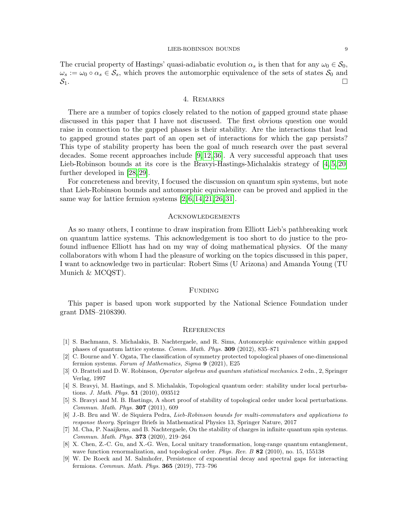#### LIEB-ROBINSON BOUNDS 9

The crucial property of Hastings' quasi-adiabatic evolution  $\alpha_s$  is then that for any  $\omega_0 \in \mathcal{S}_0$ ,  $\omega_s := \omega_0 \circ \alpha_s \in \mathcal{S}_s$ , which proves the automorphic equivalence of the sets of states  $\mathcal{S}_0$  and  $\mathcal{S}_1$ .

## 4. Remarks

There are a number of topics closely related to the notion of gapped ground state phase discussed in this paper that I have not discussed. The first obvious question one would raise in connection to the gapped phases is their stability. Are the interactions that lead to gapped ground states part of an open set of interactions for which the gap persists? This type of stability property has been the goal of much research over the past several decades. Some recent approaches include [\[9,](#page-8-4) [12,](#page-9-20) [36\]](#page-9-21). A very successful approach that uses Lieb-Robinson bounds at its core is the Bravyi-Hastings-Michalakis strategy of [\[4,](#page-8-5) [5,](#page-8-6) [20\]](#page-9-22) further developed in [\[28,](#page-9-8) [29\]](#page-9-23).

For concreteness and brevity, I focused the discussion on quantum spin systems, but note that Lieb-Robinson bounds and automorphic equivalence can be proved and applied in the same way for lattice fermion systems [\[2,](#page-8-7) [6,](#page-8-8) [14,](#page-9-3) [21,](#page-9-24) [26,](#page-9-25) [31\]](#page-9-26).

## **ACKNOWLEDGEMENTS**

As so many others, I continue to draw inspiration from Elliott Lieb's pathbreaking work on quantum lattice systems. This acknowledgement is too short to do justice to the profound influence Elliott has had on my way of doing mathematical physics. Of the many collaborators with whom I had the pleasure of working on the topics discussed in this paper, I want to acknowledge two in particular: Robert Sims (U Arizona) and Amanda Young (TU Munich & MCQST).

### FUNDING

This paper is based upon work supported by the National Science Foundation under grant DMS–2108390.

### **REFERENCES**

- <span id="page-8-3"></span>[1] S. Bachmann, S. Michalakis, B. Nachtergaele, and R. Sims, Automorphic equivalence within gapped phases of quantum lattice systems. Comm. Math. Phys. 309 (2012), 835–871
- <span id="page-8-7"></span>[2] C. Bourne and Y. Ogata, The classification of symmetry protected topological phases of one-dimensional fermion systems. Forum of Mathematics, Sigma 9 (2021), E25
- <span id="page-8-0"></span>[3] O. Bratteli and D. W. Robinson, Operator algebras and quantum statistical mechanics. 2 edn., 2, Springer Verlag, 1997
- <span id="page-8-5"></span>[4] S. Bravyi, M. Hastings, and S. Michalakis, Topological quantum order: stability under local perturbations. J. Math. Phys. 51 (2010), 093512
- <span id="page-8-6"></span>[5] S. Bravyi and M. B. Hastings, A short proof of stability of topological order under local perturbations. Commun. Math. Phys. 307 (2011), 609
- <span id="page-8-8"></span>[6] J.-B. Bru and W. de Siquiera Pedra, Lieb-Robinson bounds for multi-commutators and applications to response theory. Springer Briefs in Mathematical Physics 13, Springer Nature, 2017
- <span id="page-8-1"></span>[7] M. Cha, P. Naaijkens, and B. Nachtergaele, On the stability of charges in infinite quantum spin systems. Commun. Math. Phys. 373 (2020), 219–264
- <span id="page-8-2"></span>[8] X. Chen, Z.-C. Gu, and X.-G. Wen, Local unitary transformation, long-range quantum entanglement, wave function renormalization, and topological order. Phys. Rev. B 82 (2010), no. 15, 155138
- <span id="page-8-4"></span>[9] W. De Roeck and M. Salmhofer, Persistence of exponential decay and spectral gaps for interacting fermions. Commun. Math. Phys. 365 (2019), 773–796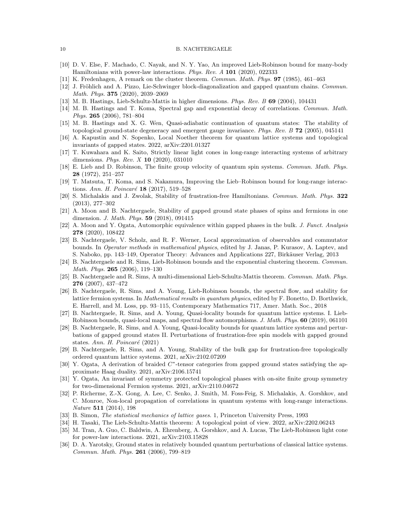- <span id="page-9-12"></span>[10] D. V. Else, F. Machado, C. Nayak, and N. Y. Yao, An improved Lieb-Robinson bound for many-body Hamiltonians with power-law interactions. Phys. Rev. A 101 (2020), 022333
- <span id="page-9-2"></span>[11] K. Fredenhagen, A remark on the cluster theorem. Commun. Math. Phys. 97 (1985), 461–463
- <span id="page-9-20"></span>[12] J. Fröhlich and A. Pizzo, Lie-Schwinger block-diagonalization and gapped quantum chains. Commun. Math. Phys. **375** (2020), 2039–2069
- <span id="page-9-1"></span>[13] M. B. Hastings, Lieb-Schultz-Mattis in higher dimensions. Phys. Rev. B 69 (2004), 104431
- <span id="page-9-3"></span>[14] M. B. Hastings and T. Koma, Spectral gap and exponential decay of correlations. Commun. Math. Phys. 265 (2006), 781-804
- <span id="page-9-19"></span>[15] M. B. Hastings and X. G. Wen, Quasi-adiabatic continuation of quantum states: The stability of topological ground-state degeneracy and emergent gauge invariance. Phys. Rev.  $B$  72 (2005), 045141
- <span id="page-9-7"></span>[16] A. Kapustin and N. Sopenko, Local Noether theorem for quantum lattice systems and topological invariants of gapped states. 2022, arXiv:2201.01327
- <span id="page-9-13"></span>[17] T. Kuwahara and K. Saito, Strictly linear light cones in long-range interacting systems of arbitrary dimensions. Phys. Rev. X 10 (2020), 031010
- <span id="page-9-0"></span>[18] E. Lieb and D. Robinson, The finite group velocity of quantum spin systems. Commun. Math. Phys. 28 (1972), 251–257
- <span id="page-9-14"></span>[19] T. Matsuta, T. Koma, and S. Nakamura, Improving the Lieb–Robinson bound for long-range interactions. Ann. H. Poincaré  $18$  (2017), 519–528
- <span id="page-9-22"></span>[20] S. Michalakis and J. Zwolak, Stability of frustration-free Hamiltonians. Commun. Math. Phys. 322 (2013), 277–302
- <span id="page-9-24"></span>[21] A. Moon and B. Nachtergaele, Stability of gapped ground state phases of spins and fermions in one dimension. J. Math. Phys. 59 (2018), 091415
- <span id="page-9-5"></span>[22] A. Moon and Y. Ogata, Automorphic equivalence within gapped phases in the bulk. J. Funct. Analysis 278 (2020), 108422
- <span id="page-9-6"></span>[23] B. Nachtergaele, V. Scholz, and R. F. Werner, Local approximation of observables and commutator bounds. In Operator methods in mathematical physics, edited by J. Janas, P. Kurasov, A. Laptev, and S. Naboko, pp. 143–149, Operator Theory: Advances and Applications 227, Birkäuser Verlag, 2013
- <span id="page-9-4"></span>[24] B. Nachtergaele and R. Sims, Lieb-Robinson bounds and the exponential clustering theorem. Commun. Math. Phys. 265 (2006), 119–130
- <span id="page-9-11"></span>[25] B. Nachtergaele and R. Sims, A multi-dimensional Lieb-Schultz-Mattis theorem. Commun. Math. Phys. 276 (2007), 437–472
- <span id="page-9-25"></span>[26] B. Nachtergaele, R. Sims, and A. Young, Lieb-Robinson bounds, the spectral flow, and stability for lattice fermion systems. In Mathematical results in quantum physics, edited by F. Bonetto, D. Borthwick, E. Harrell, and M. Loss, pp. 93–115, Contemporary Mathematics 717, Amer. Math. Soc., 2018
- <span id="page-9-10"></span>[27] B. Nachtergaele, R. Sims, and A. Young, Quasi-locality bounds for quantum lattice systems. I. Lieb-Robinson bounds, quasi-local maps, and spectral flow automorphisms. J. Math. Phys. 60 (2019), 061101
- <span id="page-9-8"></span>[28] B. Nachtergaele, R. Sims, and A. Young, Quasi-locality bounds for quantum lattice systems and perturbations of gapped ground states II. Perturbations of frustration-free spin models with gapped ground states. Ann. H. Poincaré  $(2021)$
- <span id="page-9-23"></span>[29] B. Nachtergaele, R. Sims, and A. Young, Stability of the bulk gap for frustration-free topologically ordered quantum lattice systems. 2021, arXiv:2102.07209
- <span id="page-9-17"></span>[30] Y. Ogata, A derivation of braided C<sup>\*</sup>-tensor categories from gapped ground states satisfying the approximate Haag duality. 2021, arXiv:2106.15741
- <span id="page-9-26"></span>[31] Y. Ogata, An invariant of symmetry protected topological phases with on-site finite group symmetry for two-dimensional Fermion systems. 2021, arXiv:2110.04672
- <span id="page-9-15"></span>[32] P. Richerme, Z.-X. Gong, A. Lee, C. Senko, J. Smith, M. Foss-Feig, S. Michalakis, A. Gorshkov, and C. Monroe, Non-local propagation of correlations in quantum systems with long-range interactions. Nature 511 (2014), 198
- <span id="page-9-9"></span>[33] B. Simon, *The statistical mechanics of lattice gases.* 1, Princeton University Press, 1993
- <span id="page-9-18"></span>[34] H. Tasaki, The Lieb-Schultz-Mattis theorem: A topological point of view. 2022, arXiv:2202.06243
- <span id="page-9-16"></span>[35] M. Tran, A. Guo, C. Baldwin, A. Ehrenberg, A. Gorshkov, and A. Lucas, The Lieb-Robinson light cone for power-law interactions. 2021, arXiv:2103.15828
- <span id="page-9-21"></span>[36] D. A. Yarotsky, Ground states in relatively bounded quantum perturbations of classical lattice systems. Commun. Math. Phys. 261 (2006), 799–819